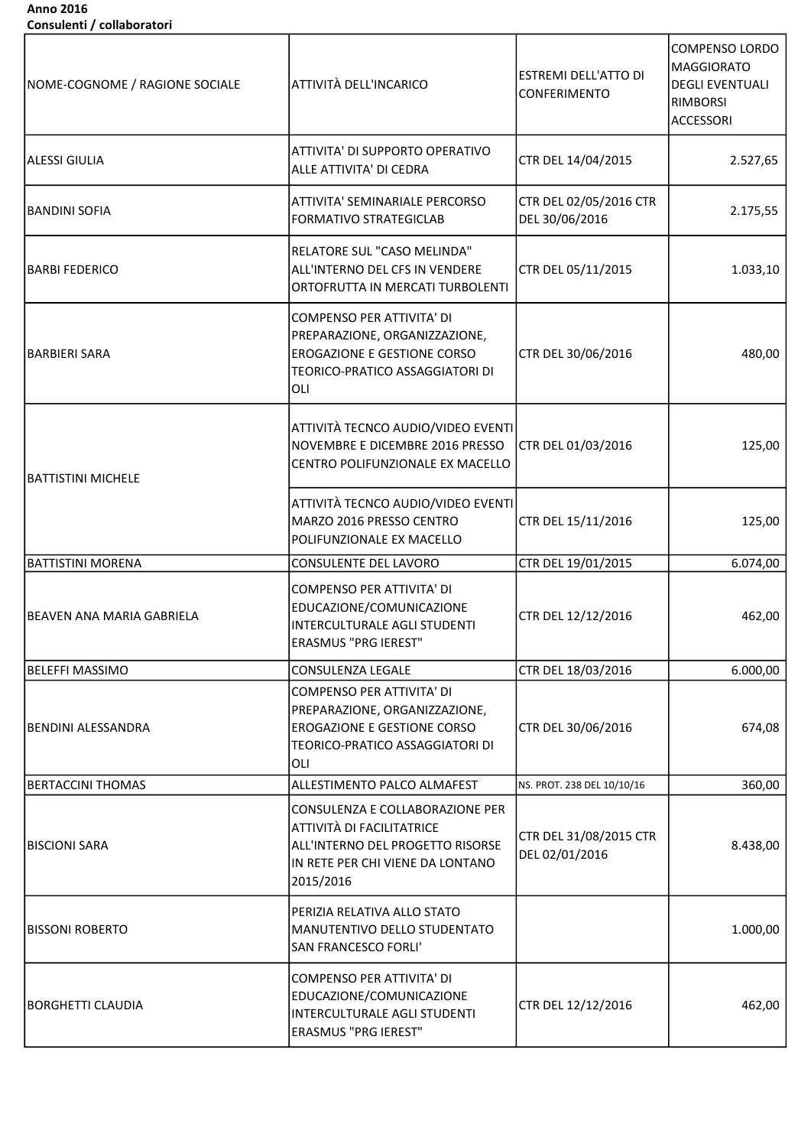## Anno 2016 Consulenti / collaboratori

| NOME-COGNOME / RAGIONE SOCIALE | <b>ATTIVITÀ DELL'INCARICO</b>                                                                                                                     | <b>ESTREMI DELL'ATTO DI</b><br>CONFERIMENTO | <b>COMPENSO LORDO</b><br>MAGGIORATO<br><b>DEGLI EVENTUALI</b><br><b>RIMBORSI</b><br><b>ACCESSORI</b> |
|--------------------------------|---------------------------------------------------------------------------------------------------------------------------------------------------|---------------------------------------------|------------------------------------------------------------------------------------------------------|
| <b>ALESSI GIULIA</b>           | <b>ATTIVITA' DI SUPPORTO OPERATIVO</b><br>ALLE ATTIVITA' DI CEDRA                                                                                 | CTR DEL 14/04/2015                          | 2.527,65                                                                                             |
| <b>BANDINI SOFIA</b>           | ATTIVITA' SEMINARIALE PERCORSO<br><b>FORMATIVO STRATEGICLAB</b>                                                                                   | CTR DEL 02/05/2016 CTR<br>DEL 30/06/2016    | 2.175,55                                                                                             |
| <b>BARBI FEDERICO</b>          | RELATORE SUL "CASO MELINDA"<br>ALL'INTERNO DEL CFS IN VENDERE<br>ORTOFRUTTA IN MERCATI TURBOLENTI                                                 | CTR DEL 05/11/2015                          | 1.033,10                                                                                             |
| <b>BARBIERI SARA</b>           | COMPENSO PER ATTIVITA' DI<br>PREPARAZIONE, ORGANIZZAZIONE,<br><b>EROGAZIONE E GESTIONE CORSO</b><br>TEORICO-PRATICO ASSAGGIATORI DI<br>OLI        | CTR DEL 30/06/2016                          | 480,00                                                                                               |
| <b>BATTISTINI MICHELE</b>      | ATTIVITÀ TECNCO AUDIO/VIDEO EVENTI<br>NOVEMBRE E DICEMBRE 2016 PRESSO<br>CENTRO POLIFUNZIONALE EX MACELLO                                         | CTR DEL 01/03/2016                          | 125,00                                                                                               |
|                                | ATTIVITÀ TECNCO AUDIO/VIDEO EVENTI<br>MARZO 2016 PRESSO CENTRO<br>POLIFUNZIONALE EX MACELLO                                                       | CTR DEL 15/11/2016                          | 125,00                                                                                               |
| <b>BATTISTINI MORENA</b>       | CONSULENTE DEL LAVORO                                                                                                                             | CTR DEL 19/01/2015                          | 6.074,00                                                                                             |
| IBEAVEN ANA MARIA GABRIELA     | COMPENSO PER ATTIVITA' DI<br>EDUCAZIONE/COMUNICAZIONE<br>INTERCULTURALE AGLI STUDENTI<br>ERASMUS "PRG IEREST"                                     | CTR DEL 12/12/2016                          | 462,00                                                                                               |
| <b>BELEFFI MASSIMO</b>         | CONSULENZA LEGALE                                                                                                                                 | CTR DEL 18/03/2016                          | 6.000,00                                                                                             |
| BENDINI ALESSANDRA             | COMPENSO PER ATTIVITA' DI<br>PREPARAZIONE, ORGANIZZAZIONE,<br><b>EROGAZIONE E GESTIONE CORSO</b><br>TEORICO-PRATICO ASSAGGIATORI DI<br>OLI        | CTR DEL 30/06/2016                          | 674,08                                                                                               |
| <b>BERTACCINI THOMAS</b>       | ALLESTIMENTO PALCO ALMAFEST                                                                                                                       | NS. PROT. 238 DEL 10/10/16                  | 360,00                                                                                               |
| <b>BISCIONI SARA</b>           | CONSULENZA E COLLABORAZIONE PER<br>ATTIVITÀ DI FACILITATRICE<br>ALL'INTERNO DEL PROGETTO RISORSE<br>IN RETE PER CHI VIENE DA LONTANO<br>2015/2016 | CTR DEL 31/08/2015 CTR<br>DEL 02/01/2016    | 8.438,00                                                                                             |
| <b>BISSONI ROBERTO</b>         | PERIZIA RELATIVA ALLO STATO<br> MANUTENTIVO DELLO STUDENTATO<br><b>SAN FRANCESCO FORLI'</b>                                                       |                                             | 1.000,00                                                                                             |
| BORGHETTI CLAUDIA              | COMPENSO PER ATTIVITA' DI<br>EDUCAZIONE/COMUNICAZIONE<br>INTERCULTURALE AGLI STUDENTI<br><b>ERASMUS "PRG IEREST"</b>                              | CTR DEL 12/12/2016                          | 462,00                                                                                               |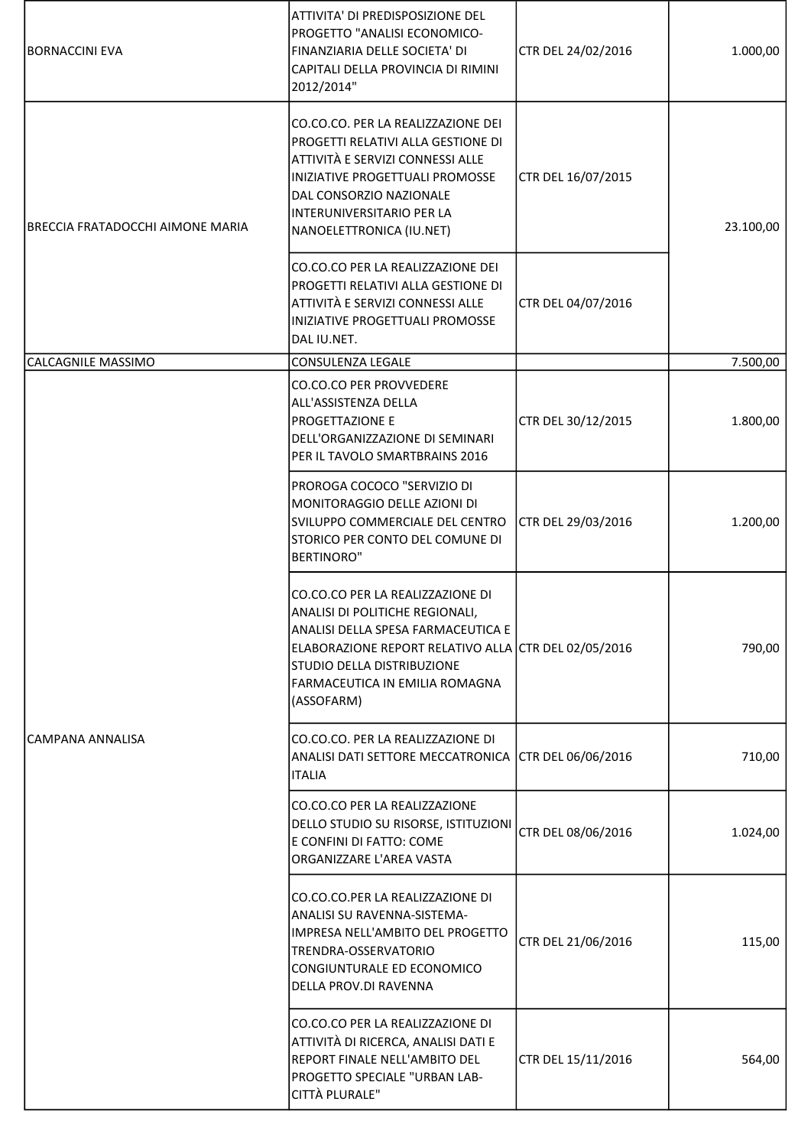| <b>BORNACCINI EVA</b>                   | ATTIVITA' DI PREDISPOSIZIONE DEL<br>PROGETTO "ANALISI ECONOMICO-<br>FINANZIARIA DELLE SOCIETA' DI<br>CAPITALI DELLA PROVINCIA DI RIMINI<br>2012/2014"                                                                                           | CTR DEL 24/02/2016 | 1.000,00  |
|-----------------------------------------|-------------------------------------------------------------------------------------------------------------------------------------------------------------------------------------------------------------------------------------------------|--------------------|-----------|
| <b>BRECCIA FRATADOCCHI AIMONE MARIA</b> | CO.CO.CO. PER LA REALIZZAZIONE DEI<br>PROGETTI RELATIVI ALLA GESTIONE DI<br>ATTIVITÀ E SERVIZI CONNESSI ALLE<br>INIZIATIVE PROGETTUALI PROMOSSE<br>DAL CONSORZIO NAZIONALE<br>INTERUNIVERSITARIO PER LA<br>NANOELETTRONICA (IU.NET)             | CTR DEL 16/07/2015 | 23.100,00 |
|                                         | CO.CO.CO PER LA REALIZZAZIONE DEI<br>PROGETTI RELATIVI ALLA GESTIONE DI<br>ATTIVITÀ E SERVIZI CONNESSI ALLE<br>INIZIATIVE PROGETTUALI PROMOSSE<br>DAL IU.NET.                                                                                   | CTR DEL 04/07/2016 |           |
| <b>CALCAGNILE MASSIMO</b>               | CONSULENZA LEGALE                                                                                                                                                                                                                               |                    | 7.500,00  |
|                                         | <b>CO.CO.CO PER PROVVEDERE</b><br>ALL'ASSISTENZA DELLA<br>PROGETTAZIONE E<br>DELL'ORGANIZZAZIONE DI SEMINARI<br>PER IL TAVOLO SMARTBRAINS 2016                                                                                                  | CTR DEL 30/12/2015 | 1.800,00  |
|                                         | PROROGA COCOCO "SERVIZIO DI<br>MONITORAGGIO DELLE AZIONI DI<br>SVILUPPO COMMERCIALE DEL CENTRO<br>STORICO PER CONTO DEL COMUNE DI<br><b>BERTINORO"</b>                                                                                          | CTR DEL 29/03/2016 | 1.200,00  |
|                                         | CO.CO.CO PER LA REALIZZAZIONE DI<br>ANALISI DI POLITICHE REGIONALI,<br>ANALISI DELLA SPESA FARMACEUTICA E<br>ELABORAZIONE REPORT RELATIVO ALLA CTR DEL 02/05/2016<br>STUDIO DELLA DISTRIBUZIONE<br>FARMACEUTICA IN EMILIA ROMAGNA<br>(ASSOFARM) |                    | 790,00    |
| CAMPANA ANNALISA                        | CO.CO.CO. PER LA REALIZZAZIONE DI<br>ANALISI DATI SETTORE MECCATRONICA<br><b>ITALIA</b>                                                                                                                                                         | CTR DEL 06/06/2016 | 710,00    |
|                                         | CO.CO.CO PER LA REALIZZAZIONE<br>DELLO STUDIO SU RISORSE, ISTITUZIONI<br>E CONFINI DI FATTO: COME<br>ORGANIZZARE L'AREA VASTA                                                                                                                   | CTR DEL 08/06/2016 | 1.024,00  |
|                                         | CO.CO.CO.PER LA REALIZZAZIONE DI<br>ANALISI SU RAVENNA-SISTEMA-<br>IMPRESA NELL'AMBITO DEL PROGETTO<br>TRENDRA-OSSERVATORIO<br>CONGIUNTURALE ED ECONOMICO<br>DELLA PROV.DI RAVENNA                                                              | CTR DEL 21/06/2016 | 115,00    |
|                                         | CO.CO.CO PER LA REALIZZAZIONE DI<br>ATTIVITÀ DI RICERCA, ANALISI DATI E<br>REPORT FINALE NELL'AMBITO DEL<br>PROGETTO SPECIALE "URBAN LAB-<br>CITTÀ PLURALE"                                                                                     | CTR DEL 15/11/2016 | 564,00    |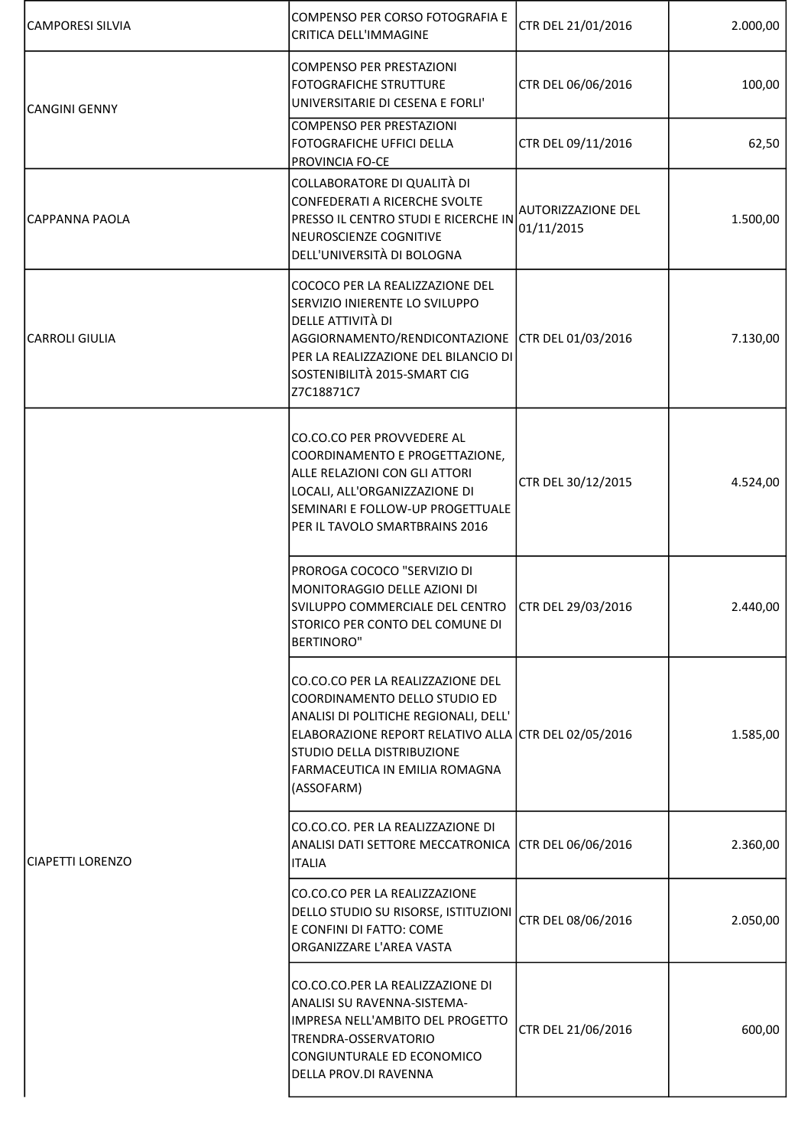| CAMPORESI SILVIA      | COMPENSO PER CORSO FOTOGRAFIA E<br>CRITICA DELL'IMMAGINE                                                                                                                                                                                            | CTR DEL 21/01/2016               | 2.000,00 |
|-----------------------|-----------------------------------------------------------------------------------------------------------------------------------------------------------------------------------------------------------------------------------------------------|----------------------------------|----------|
| <b>CANGINI GENNY</b>  | COMPENSO PER PRESTAZIONI<br><b>FOTOGRAFICHE STRUTTURE</b><br>UNIVERSITARIE DI CESENA E FORLI'                                                                                                                                                       | CTR DEL 06/06/2016               | 100,00   |
|                       | COMPENSO PER PRESTAZIONI<br><b>FOTOGRAFICHE UFFICI DELLA</b><br>PROVINCIA FO-CE                                                                                                                                                                     | CTR DEL 09/11/2016               | 62,50    |
| CAPPANNA PAOLA        | COLLABORATORE DI QUALITÀ DI<br>CONFEDERATI A RICERCHE SVOLTE<br>PRESSO IL CENTRO STUDI E RICERCHE IN<br>NEUROSCIENZE COGNITIVE<br>DELL'UNIVERSITÀ DI BOLOGNA                                                                                        | AUTORIZZAZIONE DEL<br>01/11/2015 | 1.500,00 |
| <b>CARROLI GIULIA</b> | COCOCO PER LA REALIZZAZIONE DEL<br>SERVIZIO INIERENTE LO SVILUPPO<br>DELLE ATTIVITÀ DI<br>AGGIORNAMENTO/RENDICONTAZIONE CTR DEL 01/03/2016<br>PER LA REALIZZAZIONE DEL BILANCIO DI<br>SOSTENIBILITÀ 2015-SMART CIG<br>Z7C18871C7                    |                                  | 7.130,00 |
|                       | CO.CO.CO PER PROVVEDERE AL<br>COORDINAMENTO E PROGETTAZIONE,<br>ALLE RELAZIONI CON GLI ATTORI<br>LOCALI, ALL'ORGANIZZAZIONE DI<br>SEMINARI E FOLLOW-UP PROGETTUALE<br>PER IL TAVOLO SMARTBRAINS 2016                                                | CTR DEL 30/12/2015               | 4.524,00 |
|                       | PROROGA COCOCO "SERVIZIO DI<br>MONITORAGGIO DELLE AZIONI DI<br>SVILUPPO COMMERCIALE DEL CENTRO<br>STORICO PER CONTO DEL COMUNE DI<br><b>BERTINORO"</b>                                                                                              | CTR DEL 29/03/2016               | 2.440,00 |
|                       | CO.CO.CO PER LA REALIZZAZIONE DEL<br>COORDINAMENTO DELLO STUDIO ED<br>ANALISI DI POLITICHE REGIONALI, DELL'<br>ELABORAZIONE REPORT RELATIVO ALLA CTR DEL 02/05/2016<br>ISTUDIO DELLA DISTRIBUZIONE<br> FARMACEUTICA IN EMILIA ROMAGNA<br>(ASSOFARM) |                                  | 1.585,00 |
| CIAPETTI LORENZO      | CO.CO.CO. PER LA REALIZZAZIONE DI<br>ANALISI DATI SETTORE MECCATRONICA CTR DEL 06/06/2016<br><b>ITALIA</b>                                                                                                                                          |                                  | 2.360,00 |
|                       | CO.CO.CO PER LA REALIZZAZIONE<br>DELLO STUDIO SU RISORSE, ISTITUZIONI<br>E CONFINI DI FATTO: COME<br>ORGANIZZARE L'AREA VASTA                                                                                                                       | CTR DEL 08/06/2016               | 2.050,00 |
|                       | CO.CO.CO.PER LA REALIZZAZIONE DI<br>ANALISI SU RAVENNA-SISTEMA-<br>IIMPRESA NELL'AMBITO DEL PROGETTO<br>TRENDRA-OSSERVATORIO<br>CONGIUNTURALE ED ECONOMICO<br>DELLA PROV.DI RAVENNA                                                                 | CTR DEL 21/06/2016               | 600,00   |

I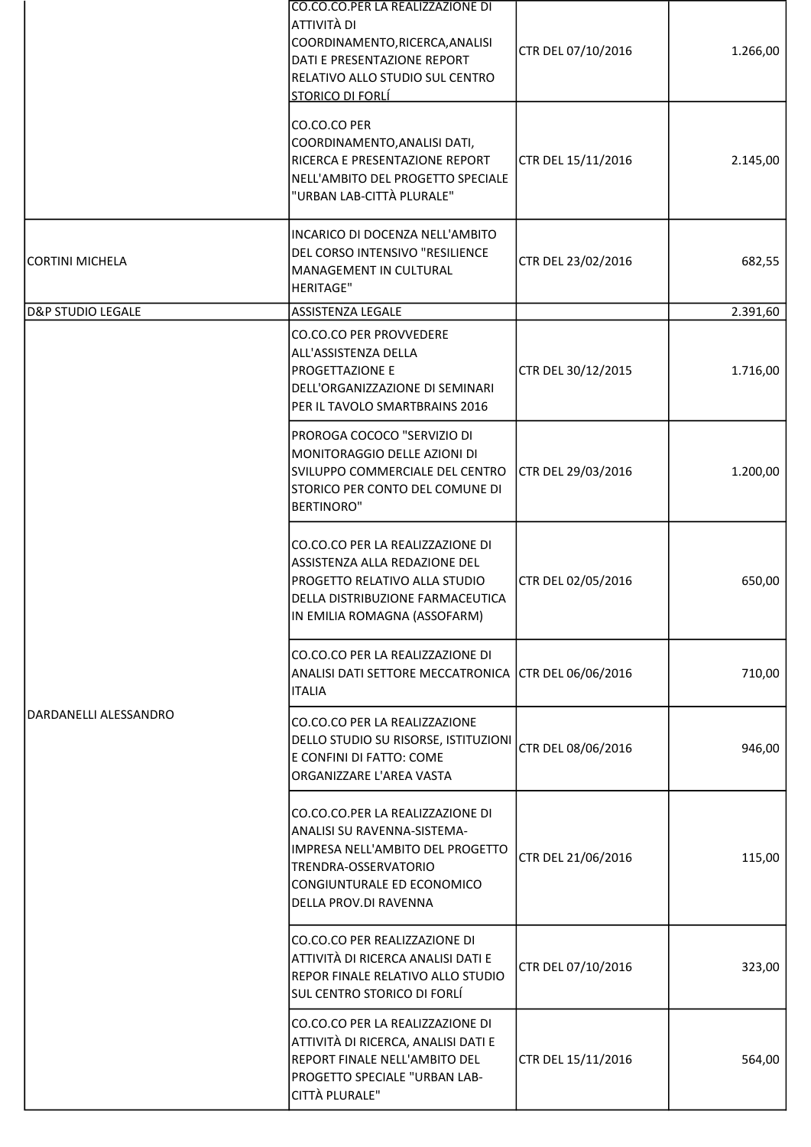|                              | CO.CO.CO.PER LA REALIZZAZIONE DI<br>ATTIVITÀ DI<br>COORDINAMENTO, RICERCA, ANALISI<br>DATI E PRESENTAZIONE REPORT<br>RELATIVO ALLO STUDIO SUL CENTRO<br><b>STORICO DI FORLÍ</b>    | CTR DEL 07/10/2016 | 1.266,00 |
|------------------------------|------------------------------------------------------------------------------------------------------------------------------------------------------------------------------------|--------------------|----------|
|                              | CO.CO.CO PER<br>COORDINAMENTO, ANALISI DATI,<br>RICERCA E PRESENTAZIONE REPORT<br>NELL'AMBITO DEL PROGETTO SPECIALE<br>"URBAN LAB-CITTÀ PLURALE"                                   | CTR DEL 15/11/2016 | 2.145,00 |
| CORTINI MICHELA              | INCARICO DI DOCENZA NELL'AMBITO<br>DEL CORSO INTENSIVO "RESILIENCE<br>MANAGEMENT IN CULTURAL<br><b>HERITAGE"</b>                                                                   | CTR DEL 23/02/2016 | 682,55   |
| <b>D&amp;P STUDIO LEGALE</b> | <b>ASSISTENZA LEGALE</b><br><b>CO.CO.CO PER PROVVEDERE</b>                                                                                                                         |                    | 2.391,60 |
|                              | ALL'ASSISTENZA DELLA<br><b>PROGETTAZIONE E</b><br>DELL'ORGANIZZAZIONE DI SEMINARI<br>PER IL TAVOLO SMARTBRAINS 2016                                                                | CTR DEL 30/12/2015 | 1.716,00 |
|                              | PROROGA COCOCO "SERVIZIO DI<br>MONITORAGGIO DELLE AZIONI DI<br>SVILUPPO COMMERCIALE DEL CENTRO<br>STORICO PER CONTO DEL COMUNE DI<br><b>BERTINORO"</b>                             | CTR DEL 29/03/2016 | 1.200,00 |
| lDARDANELLI ALESSANDRO       | CO.CO.CO PER LA REALIZZAZIONE DI<br>ASSISTENZA ALLA REDAZIONE DEL<br>PROGETTO RELATIVO ALLA STUDIO<br>DELLA DISTRIBUZIONE FARMACEUTICA<br>IN EMILIA ROMAGNA (ASSOFARM)             | CTR DEL 02/05/2016 | 650,00   |
|                              | CO.CO.CO PER LA REALIZZAZIONE DI<br>ANALISI DATI SETTORE MECCATRONICA CTR DEL 06/06/2016<br><b>ITALIA</b>                                                                          |                    | 710,00   |
|                              | CO.CO.CO PER LA REALIZZAZIONE<br>DELLO STUDIO SU RISORSE, ISTITUZIONI<br>E CONFINI DI FATTO: COME<br>ORGANIZZARE L'AREA VASTA                                                      | CTR DEL 08/06/2016 | 946,00   |
|                              | CO.CO.CO.PER LA REALIZZAZIONE DI<br>ANALISI SU RAVENNA-SISTEMA-<br>IMPRESA NELL'AMBITO DEL PROGETTO<br>TRENDRA-OSSERVATORIO<br>CONGIUNTURALE ED ECONOMICO<br>DELLA PROV.DI RAVENNA | CTR DEL 21/06/2016 | 115,00   |
|                              | CO.CO.CO PER REALIZZAZIONE DI<br>ATTIVITÀ DI RICERCA ANALISI DATI E<br>REPOR FINALE RELATIVO ALLO STUDIO<br><b>SUL CENTRO STORICO DI FORLÍ</b>                                     | CTR DEL 07/10/2016 | 323,00   |
|                              | CO.CO.CO PER LA REALIZZAZIONE DI<br>ATTIVITÀ DI RICERCA, ANALISI DATI E<br>REPORT FINALE NELL'AMBITO DEL<br>PROGETTO SPECIALE "URBAN LAB-<br>CITTÀ PLURALE"                        | CTR DEL 15/11/2016 | 564,00   |
|                              |                                                                                                                                                                                    |                    |          |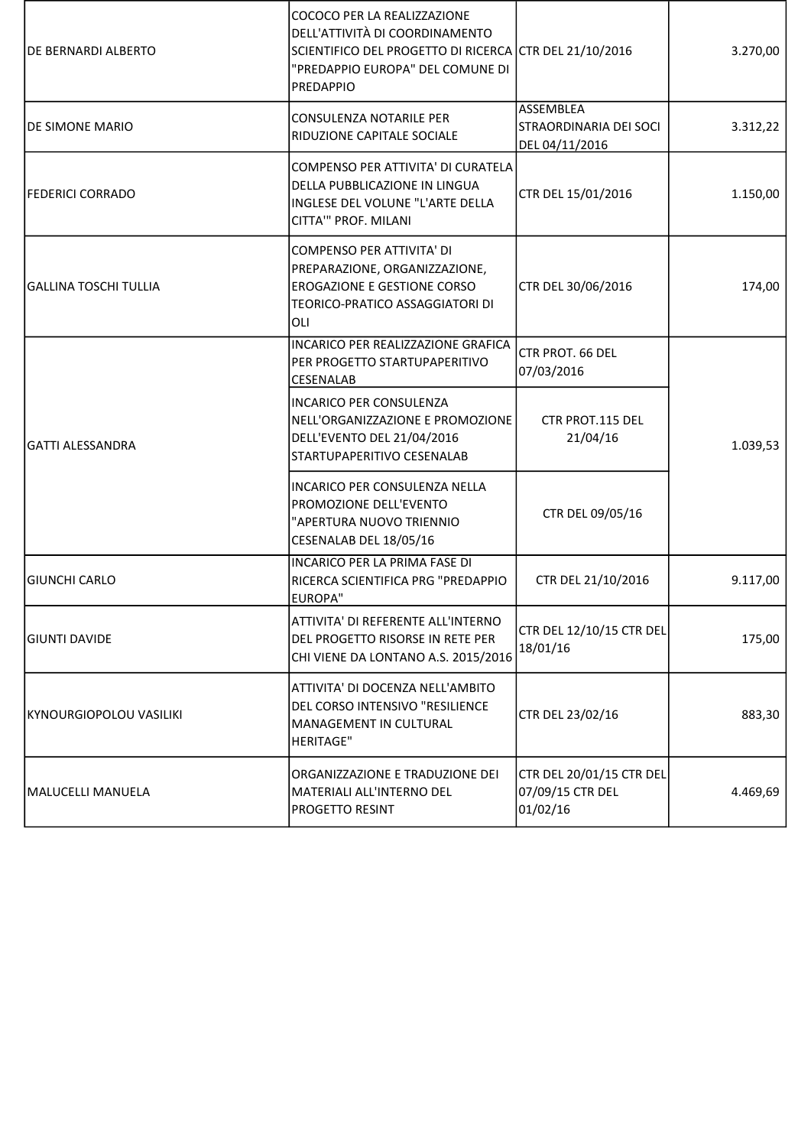| <b>IDE BERNARDI ALBERTO</b>  | COCOCO PER LA REALIZZAZIONE<br>DELL'ATTIVITÀ DI COORDINAMENTO<br>SCIENTIFICO DEL PROGETTO DI RICERCA CTR DEL 21/10/2016<br>"PREDAPPIO EUROPA" DEL COMUNE DI<br>PREDAPPIO |                                                                     | 3.270,00 |
|------------------------------|--------------------------------------------------------------------------------------------------------------------------------------------------------------------------|---------------------------------------------------------------------|----------|
| <b>DE SIMONE MARIO</b>       | CONSULENZA NOTARILE PER<br>RIDUZIONE CAPITALE SOCIALE                                                                                                                    | <b>ASSEMBLEA</b><br><b>STRAORDINARIA DEI SOCI</b><br>DEL 04/11/2016 | 3.312,22 |
| FEDERICI CORRADO             | COMPENSO PER ATTIVITA' DI CURATELA<br>DELLA PUBBLICAZIONE IN LINGUA<br>INGLESE DEL VOLUNE "L'ARTE DELLA<br>CITTA" PROF. MILANI                                           | CTR DEL 15/01/2016                                                  | 1.150,00 |
| <b>GALLINA TOSCHI TULLIA</b> | <b>COMPENSO PER ATTIVITA' DI</b><br>PREPARAZIONE, ORGANIZZAZIONE,<br><b>EROGAZIONE E GESTIONE CORSO</b><br>TEORICO-PRATICO ASSAGGIATORI DI<br>OLI                        | CTR DEL 30/06/2016                                                  | 174,00   |
|                              | <b>INCARICO PER REALIZZAZIONE GRAFICA</b><br>PER PROGETTO STARTUPAPERITIVO<br>CESENALAB                                                                                  | <b>CTR PROT. 66 DEL</b><br>07/03/2016                               |          |
| lGATTI ALESSANDRA            | <b>INCARICO PER CONSULENZA</b><br>NELL'ORGANIZZAZIONE E PROMOZIONE<br>DELL'EVENTO DEL 21/04/2016<br>STARTUPAPERITIVO CESENALAB                                           | CTR PROT.115 DEL<br>21/04/16                                        | 1.039,53 |
|                              | INCARICO PER CONSULENZA NELLA<br>PROMOZIONE DELL'EVENTO<br>"APERTURA NUOVO TRIENNIO<br>CESENALAB DEL 18/05/16                                                            | CTR DEL 09/05/16                                                    |          |
| <b>GIUNCHI CARLO</b>         | INCARICO PER LA PRIMA FASE DI<br>RICERCA SCIENTIFICA PRG "PREDAPPIO<br>EUROPA"                                                                                           | CTR DEL 21/10/2016                                                  | 9.117,00 |
| <b>GIUNTI DAVIDE</b>         | ATTIVITA' DI REFERENTE ALL'INTERNO<br>DEL PROGETTO RISORSE IN RETE PER<br>CHI VIENE DA LONTANO A.S. 2015/2016                                                            | CTR DEL 12/10/15 CTR DEL<br>18/01/16                                | 175,00   |
| KYNOURGIOPOLOU VASILIKI      | ATTIVITA' DI DOCENZA NELL'AMBITO<br>DEL CORSO INTENSIVO "RESILIENCE<br>MANAGEMENT IN CULTURAL<br><b>HERITAGE"</b>                                                        | CTR DEL 23/02/16                                                    | 883,30   |
| MALUCELLI MANUELA            | ORGANIZZAZIONE E TRADUZIONE DEI<br>MATERIALI ALL'INTERNO DEL<br>PROGETTO RESINT                                                                                          | CTR DEL 20/01/15 CTR DEL<br>07/09/15 CTR DEL<br>01/02/16            | 4.469,69 |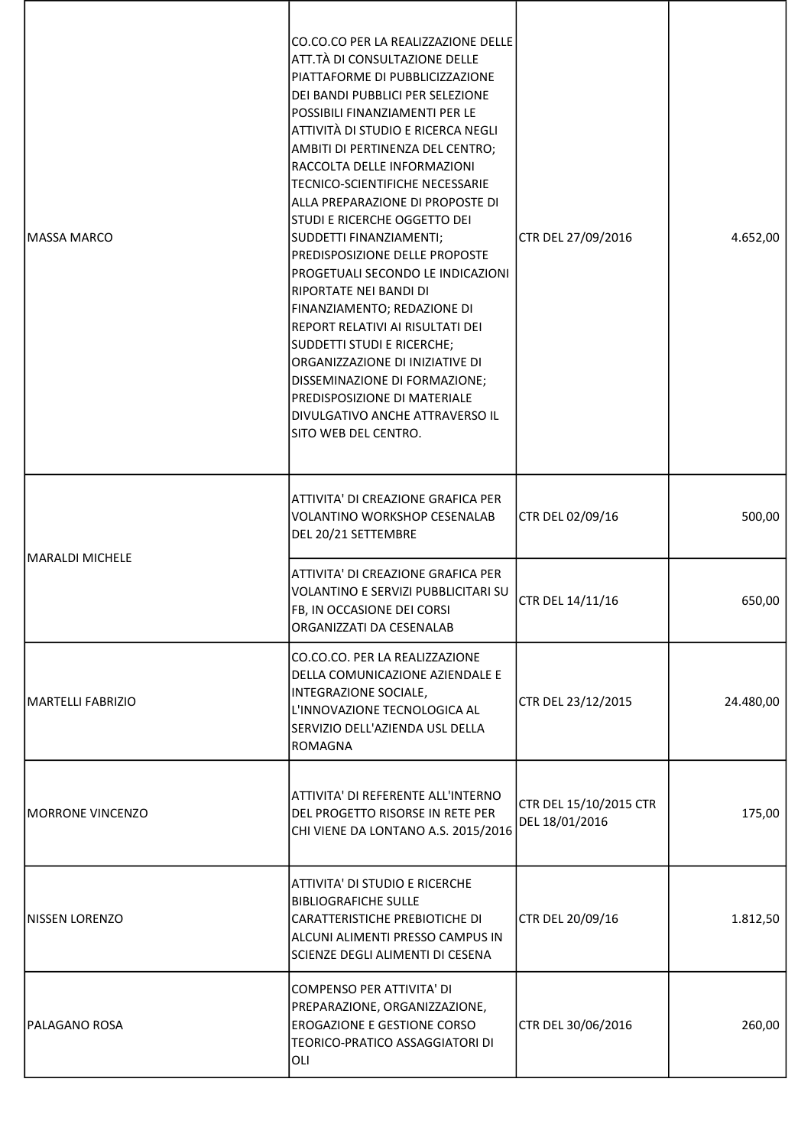| <b>MASSA MARCO</b>   | CO.CO.CO PER LA REALIZZAZIONE DELLE<br>ATT.TÀ DI CONSULTAZIONE DELLE<br>PIATTAFORME DI PUBBLICIZZAZIONE<br>DEI BANDI PUBBLICI PER SELEZIONE<br>POSSIBILI FINANZIAMENTI PER LE<br>ATTIVITÀ DI STUDIO E RICERCA NEGLI<br>AMBITI DI PERTINENZA DEL CENTRO;<br>RACCOLTA DELLE INFORMAZIONI<br><b>TECNICO-SCIENTIFICHE NECESSARIE</b><br>ALLA PREPARAZIONE DI PROPOSTE DI<br>STUDI E RICERCHE OGGETTO DEI<br>SUDDETTI FINANZIAMENTI;<br>PREDISPOSIZIONE DELLE PROPOSTE<br>PROGETUALI SECONDO LE INDICAZIONI<br>RIPORTATE NEI BANDI DI<br>FINANZIAMENTO; REDAZIONE DI<br>REPORT RELATIVI AI RISULTATI DEI<br>SUDDETTI STUDI E RICERCHE;<br>ORGANIZZAZIONE DI INIZIATIVE DI<br>DISSEMINAZIONE DI FORMAZIONE;<br><b>PREDISPOSIZIONE DI MATERIALE</b><br>DIVULGATIVO ANCHE ATTRAVERSO IL<br>SITO WEB DEL CENTRO. | CTR DEL 27/09/2016                       | 4.652,00  |
|----------------------|---------------------------------------------------------------------------------------------------------------------------------------------------------------------------------------------------------------------------------------------------------------------------------------------------------------------------------------------------------------------------------------------------------------------------------------------------------------------------------------------------------------------------------------------------------------------------------------------------------------------------------------------------------------------------------------------------------------------------------------------------------------------------------------------------------|------------------------------------------|-----------|
| IMARALDI MICHELE     | ATTIVITA' DI CREAZIONE GRAFICA PER<br><b>VOLANTINO WORKSHOP CESENALAB</b><br>DEL 20/21 SETTEMBRE                                                                                                                                                                                                                                                                                                                                                                                                                                                                                                                                                                                                                                                                                                        | CTR DEL 02/09/16                         | 500,00    |
|                      | ATTIVITA' DI CREAZIONE GRAFICA PER<br>VOLANTINO E SERVIZI PUBBLICITARI SU<br>FB, IN OCCASIONE DEI CORSI<br>ORGANIZZATI DA CESENALAB                                                                                                                                                                                                                                                                                                                                                                                                                                                                                                                                                                                                                                                                     | CTR DEL 14/11/16                         | 650,00    |
| MARTELLI FABRIZIO    | CO.CO.CO. PER LA REALIZZAZIONE<br>DELLA COMUNICAZIONE AZIENDALE E<br>INTEGRAZIONE SOCIALE,<br>L'INNOVAZIONE TECNOLOGICA AL<br>SERVIZIO DELL'AZIENDA USL DELLA<br>ROMAGNA                                                                                                                                                                                                                                                                                                                                                                                                                                                                                                                                                                                                                                | CTR DEL 23/12/2015                       | 24.480,00 |
| MORRONE VINCENZO     | ATTIVITA' DI REFERENTE ALL'INTERNO<br>DEL PROGETTO RISORSE IN RETE PER<br>CHI VIENE DA LONTANO A.S. 2015/2016                                                                                                                                                                                                                                                                                                                                                                                                                                                                                                                                                                                                                                                                                           | CTR DEL 15/10/2015 CTR<br>DEL 18/01/2016 | 175,00    |
| NISSEN LORENZO       | ATTIVITA' DI STUDIO E RICERCHE<br><b>BIBLIOGRAFICHE SULLE</b><br><b>CARATTERISTICHE PREBIOTICHE DI</b><br>ALCUNI ALIMENTI PRESSO CAMPUS IN<br>SCIENZE DEGLI ALIMENTI DI CESENA                                                                                                                                                                                                                                                                                                                                                                                                                                                                                                                                                                                                                          | CTR DEL 20/09/16                         | 1.812,50  |
| <b>PALAGANO ROSA</b> | <b>COMPENSO PER ATTIVITA' DI</b><br>PREPARAZIONE, ORGANIZZAZIONE,<br><b>EROGAZIONE E GESTIONE CORSO</b><br>TEORICO-PRATICO ASSAGGIATORI DI<br>OLI                                                                                                                                                                                                                                                                                                                                                                                                                                                                                                                                                                                                                                                       | CTR DEL 30/06/2016                       | 260,00    |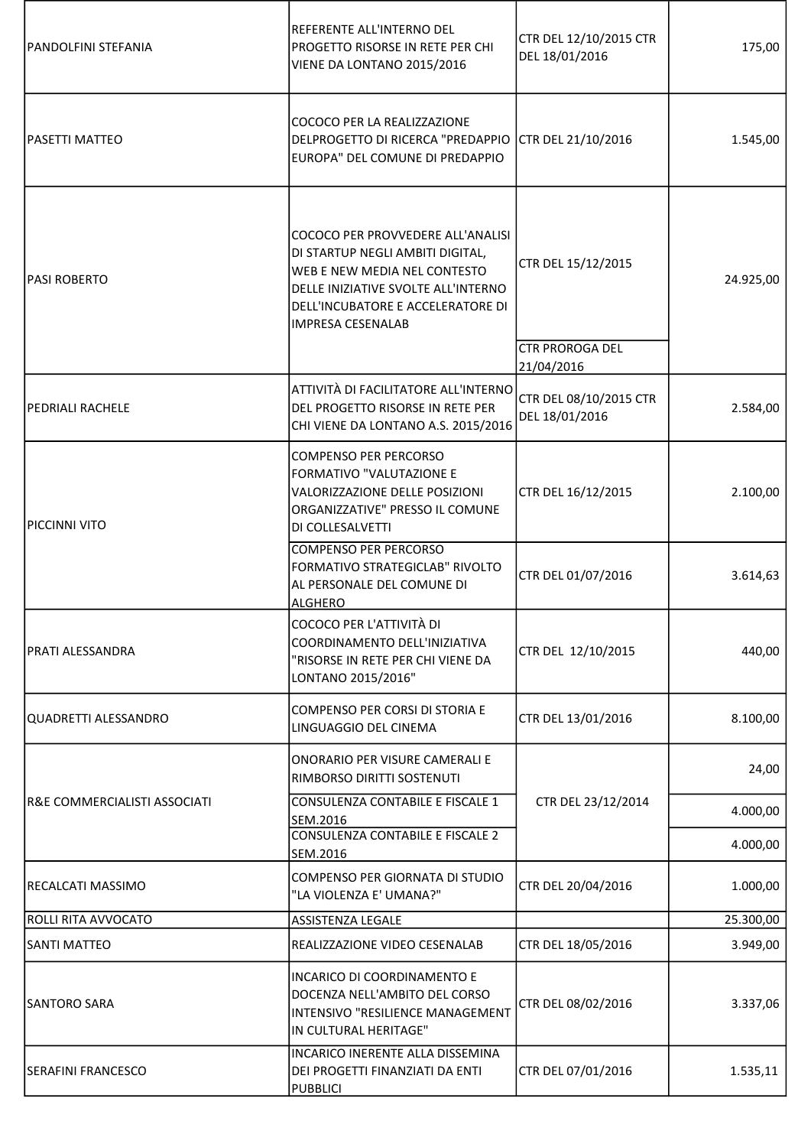| PANDOLFINI STEFANIA          | REFERENTE ALL'INTERNO DEL<br>PROGETTO RISORSE IN RETE PER CHI<br>VIENE DA LONTANO 2015/2016                                                                                                                   | CTR DEL 12/10/2015 CTR<br>DEL 18/01/2016 | 175,00    |
|------------------------------|---------------------------------------------------------------------------------------------------------------------------------------------------------------------------------------------------------------|------------------------------------------|-----------|
| <b>PASETTI MATTEO</b>        | COCOCO PER LA REALIZZAZIONE<br>DELPROGETTO DI RICERCA "PREDAPPIO CTR DEL 21/10/2016<br>EUROPA" DEL COMUNE DI PREDAPPIO                                                                                        |                                          | 1.545,00  |
| <b>PASI ROBERTO</b>          | COCOCO PER PROVVEDERE ALL'ANALISI<br>DI STARTUP NEGLI AMBITI DIGITAL,<br>WEB E NEW MEDIA NEL CONTESTO<br>DELLE INIZIATIVE SVOLTE ALL'INTERNO<br>DELL'INCUBATORE E ACCELERATORE DI<br><b>IMPRESA CESENALAB</b> | CTR DEL 15/12/2015                       | 24.925,00 |
|                              |                                                                                                                                                                                                               | <b>CTR PROROGA DEL</b><br>21/04/2016     |           |
| <b>PEDRIALI RACHELE</b>      | ATTIVITÀ DI FACILITATORE ALL'INTERNO<br>DEL PROGETTO RISORSE IN RETE PER<br>CHI VIENE DA LONTANO A.S. 2015/2016                                                                                               | CTR DEL 08/10/2015 CTR<br>DEL 18/01/2016 | 2.584,00  |
| PICCINNI VITO                | <b>COMPENSO PER PERCORSO</b><br>FORMATIVO "VALUTAZIONE E<br>VALORIZZAZIONE DELLE POSIZIONI<br>ORGANIZZATIVE" PRESSO IL COMUNE<br>DI COLLESALVETTI                                                             | CTR DEL 16/12/2015                       | 2.100,00  |
|                              | <b>COMPENSO PER PERCORSO</b><br>FORMATIVO STRATEGICLAB" RIVOLTO<br>AL PERSONALE DEL COMUNE DI<br>ALGHERO                                                                                                      | CTR DEL 01/07/2016                       | 3.614,63  |
| PRATI ALESSANDRA             | COCOCO PER L'ATTIVITÀ DI<br>COORDINAMENTO DELL'INIZIATIVA<br>"RISORSE IN RETE PER CHI VIENE DA<br>LONTANO 2015/2016"                                                                                          | CTR DEL 12/10/2015                       | 440,00    |
| QUADRETTI ALESSANDRO         | COMPENSO PER CORSI DI STORIA E<br>LINGUAGGIO DEL CINEMA                                                                                                                                                       | CTR DEL 13/01/2016                       | 8.100,00  |
|                              | ONORARIO PER VISURE CAMERALI E<br>RIMBORSO DIRITTI SOSTENUTI                                                                                                                                                  |                                          | 24,00     |
| R&E COMMERCIALISTI ASSOCIATI | CONSULENZA CONTABILE E FISCALE 1<br>SEM.2016                                                                                                                                                                  | CTR DEL 23/12/2014                       | 4.000,00  |
|                              | CONSULENZA CONTABILE E FISCALE 2<br>SEM.2016                                                                                                                                                                  |                                          | 4.000,00  |
| RECALCATI MASSIMO            | COMPENSO PER GIORNATA DI STUDIO<br>"LA VIOLENZA E' UMANA?"                                                                                                                                                    | CTR DEL 20/04/2016                       | 1.000,00  |
| <b>ROLLI RITA AVVOCATO</b>   | ASSISTENZA LEGALE                                                                                                                                                                                             |                                          | 25.300,00 |
| <b>SANTI MATTEO</b>          | REALIZZAZIONE VIDEO CESENALAB                                                                                                                                                                                 | CTR DEL 18/05/2016                       | 3.949,00  |
| <b>SANTORO SARA</b>          | <b>INCARICO DI COORDINAMENTO E</b><br>DOCENZA NELL'AMBITO DEL CORSO<br>INTENSIVO "RESILIENCE MANAGEMENT<br>IN CULTURAL HERITAGE"                                                                              | CTR DEL 08/02/2016                       | 3.337,06  |
| <b>SERAFINI FRANCESCO</b>    | INCARICO INERENTE ALLA DISSEMINA<br>DEI PROGETTI FINANZIATI DA ENTI<br><b>PUBBLICI</b>                                                                                                                        | CTR DEL 07/01/2016                       | 1.535,11  |